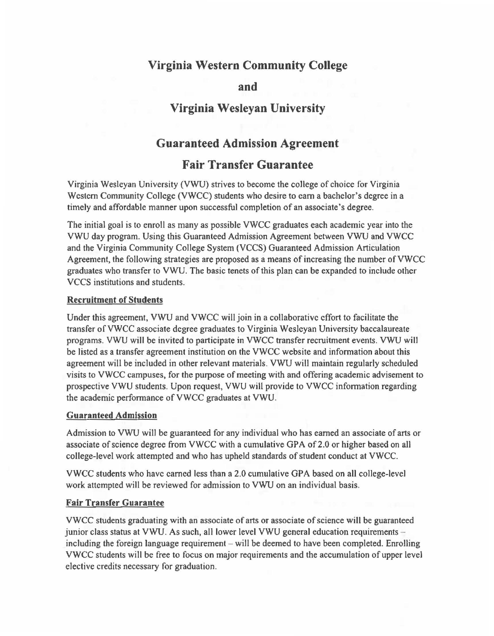# **Virginia Western Community College**

# **and**

# **Virginia Wesleyan University**

# **Guaranteed Admission Agreement**

# **Fair Transfer Guarantee**

Virginia Wesleyan University (VWU) strives to become the college of choice for Virginia Western Community College (VWCC) students who desire to earn a bachelor's degree in a timely and affordable manner upon successful completion of an associate's degree.

The initial goal is to enroll as many as possible VWCC graduates each academic year into the VWU day program. Using this Guaranteed Admission Agreement between VWU and VWCC and the Virginia Community College System (VCCS) Guaranteed Admission Articulation Agreement, the following strategies are proposed as a means ofincreasing the number ofVWCC graduates who transfer to VWU. The basic tenets of this plan can be expanded to include other VCCS institutions and students.

#### **Recruitment of Students**

Under this agreement, VWU and VWCC will join in a collaborative effort to facilitate the transfer ofVWCC associate degree graduates to Virginia Wesleyan University baccalaureate programs. VWU will be invited to participate in VWCC transfer recruitment events. VWU will be listed as a transfer agreement institution on the VWCC website and information about this agreement will be included in other relevant materials. VWU will maintain regularly scheduled visits to VWCC campuses, for the purpose of meeting with and offering academic advisement to prospective VWU students. Upon request, VWU will provide to VWCC information regarding the academic performance ofVWCC graduates at VWU.

### **Guaranteed Admission**

Admission to VWU will be guaranteed for any individual who has earned an associate ofarts or associate of science degree from VWCC with a cumulative GPA of 2.0 or higher based on all college-level work attempted and who has upheld standards of student conduct at VWCC.

VWCC students who have earned less than a 2.0 cumulative GPA based on all college-level work attempted will be reviewed for admission to VWU on an individual basis.

### **Fair Transfer Guarantee**

VWCC students graduating with an associate of arts or associate of science will be guaranteed junior class status at VWU. As such, all lower level VWU general education requirements including the foreign language requirement  $-\text{ will be deemed to have been completed. Enrolling}$ VWCC students will be free to focus on major requirements and the accumulation of upper level elective credits necessary for graduation.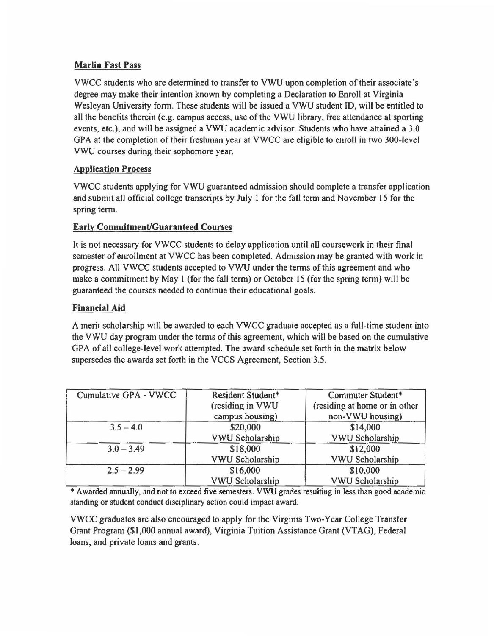## **Marlin Fast Pass**

VWCC students who are detennined to transfer to VWU upon completion oftheir associate's degree may make their intention known by completing a Declaration to Enroll at Virginia Wesleyan University fonn. These students will be issued a VWU student ID, will be entitled to all the benefits therein (e.g. campus access, use of the VWU library, free attendance at sporting events, etc.), and will be assigned a VWU academic advisor. Students who have attained a 3.0 GPA at the completion of their freshman year at VWCC are eligible to enroll in two 300-level VWU courses during their sophomore year.

## **Application Process**

VWCC students applying for VWU guaranteed admission should complete a transfer application and submit all official college transcripts by July l for the fall term and November 15 for the spring term.

## **Early Commitment/Guaranteed Courses**

It is not necessary for VWCC students to delay application until all coursework in their final semester of enrollment at VWCC has been completed. Admission may be granted with work in progress. All VWCC students accepted to VWU under the terms ofthis agreement and who make a commitment by May 1 (for the fall term) or October 15 (for the spring term) will be guaranteed the courses needed to continue their educational goals.

## **Financial Aid**

A merit scholarship will be awarded to each VWCC graduate accepted as a full-time student into the VWU day program under the terms ofthis agreement, which will be based on the cumulative GPA of all college-level work attempted. The award schedule set forth in the matrix below supersedes the awards set forth in the VCCS Agreement, Section 3.5.

| Cumulative GPA - VWCC | Resident Student*      | Commuter Student*             |
|-----------------------|------------------------|-------------------------------|
|                       | (residing in VWU       | (residing at home or in other |
|                       | campus housing)        | non-VWU housing)              |
| $3.5 - 4.0$           | \$20,000               | \$14,000                      |
|                       | <b>VWU Scholarship</b> | VWU Scholarship               |
| $3.0 - 3.49$          | \$18,000               | \$12,000                      |
|                       | VWU Scholarship        | VWU Scholarship               |
| $2.5 - 2.99$          | \$16,000               | \$10,000                      |
|                       | <b>VWU Scholarship</b> | VWU Scholarship               |

\* Awarded annually, and not to exceed five semesters. VWU grades resulting in less than good academic standing or student conduct disciplinary action could impact award.

VWCC graduates are also encouraged to apply for the Virginia Two-Year College Transfer Grant Program (\$1,000 annual award), Virginia Tuition Assistance Grant (VTAG), Federal loans, and private loans and grants.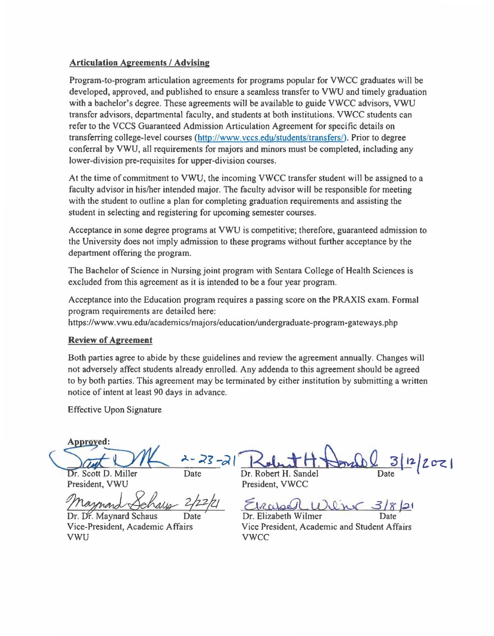### **Articulation Agreements** / **Advising**

Program-to-program articulation agreements for programs popular for VWCC graduates will be developed, approved, and published to ensure a seamless transfer to VWU and timely graduation with a bachelor's degree. These agreements will be available to guide VWCC advisors, VWU transfer advisors, departmental faculty, and students at both institutions. VWCC students can refer to the VCCS Guaranteed Admission Articulation Agreement for specific details on transferring college-level courses (<http://www.vccs.edu/students/transfers>/). Prior to degree conferral by VWU, all requirements for majors and minors must be completed, including any lower-division pre-requisites for upper-division courses.

At the time of commitment to VWU, the incoming VWCC transfer student will be assigned to a faculty advisor in his/her intended major. The faculty advisor will be responsible for meeting with the student to outline a plan for completing graduation requirements and assisting the student in selecting and registering for upcoming semester courses.

Acceptance in some degree programs at VWU is competitive; therefore, guaranteed admission to the University does not imply admission to these programs without further acceptance by the department offering the program.

The Bachelor of Science in Nursing joint program with Sentara College of Health Sciences is excluded from this agreement as it is intended to be a four year program.

Acceptance into the Education program requires a passing score on the PRAXIS exam. Formal program requirements are detailcd here:

[https://www.vwu.edu/academics/majors/education/undergraduate-program-gateways.](https://www.vwu.edu/academics/majors/education/undergraduate-program-gateways) php

### **Review of Agreement**

Both parties agree to abide by these guidelines and review the agreement annually. Changes will not adversely affect students already enrolled. Any addenda to this agreement should be agreed to by both parties. This agreement may be terminated by either institution by submitting a written notice of intent at least 90 days in advance.

Effective Upon Signature

Approved:

Dr. Scott D. Miller President, VWU President, VWCC

Date

Dr. Dr. Maynard Schaus vwu vwcc

Dr. Robert H. Sandel

2/22/21 Everyol We'ne 3/8/21

 $3|12|202|$ 

Vice-President, Academic Affairs Vice President, Academic and Student Affairs